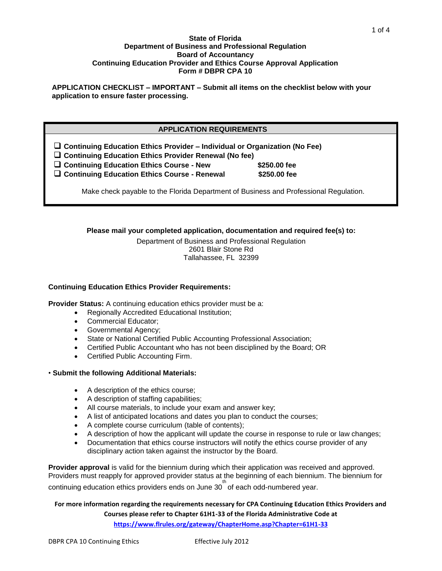#### **State of Florida Department of Business and Professional Regulation Board of Accountancy Continuing Education Provider and Ethics Course Approval Application Form # DBPR CPA 10**

**APPLICATION CHECKLIST – IMPORTANT – Submit all items on the checklist below with your application to ensure faster processing.**

### **APPLICATION REQUIREMENTS**

**Continuing Education Ethics Provider – Individual or Organization (No Fee)**

**Continuing Education Ethics Provider Renewal (No fee)**

**Continuing Education Ethics Course - New \$250.00 fee**

**Continuing Education Ethics Course - Renewal \$250.00 fee**

Make check payable to the Florida Department of Business and Professional Regulation.

# **Please mail your completed application, documentation and required fee(s) to:**

Department of Business and Professional Regulation 2601 Blair Stone Rd Tallahassee, FL 32399

#### **Continuing Education Ethics Provider Requirements:**

**Provider Status:** A continuing education ethics provider must be a:

- Regionally Accredited Educational Institution;
- Commercial Educator;
- Governmental Agency;
- State or National Certified Public Accounting Professional Association;
- Certified Public Accountant who has not been disciplined by the Board; OR
- Certified Public Accounting Firm.
- **Submit the following Additional Materials:** 
	- A description of the ethics course:
	- A description of staffing capabilities;
	- All course materials, to include your exam and answer key;
	- A list of anticipated locations and dates you plan to conduct the courses;
	- A complete course curriculum (table of contents);
	- A description of how the applicant will update the course in response to rule or law changes;
	- Documentation that ethics course instructors will notify the ethics course provider of any disciplinary action taken against the instructor by the Board.

**Provider approval** is valid for the biennium during which their application was received and approved. Providers must reapply for approved provider status at the beginning of each biennium. The biennium for continuing education ethics providers ends on June 30<sup>th</sup> of each odd-numbered year.

**For more information regarding the requirements necessary for CPA Continuing Education Ethics Providers and Courses please refer to Chapter 61H1-33 of the Florida Administrative Code at https://www.flrules.org/gateway/ChapterHome.asp?Chapter=61H1-33**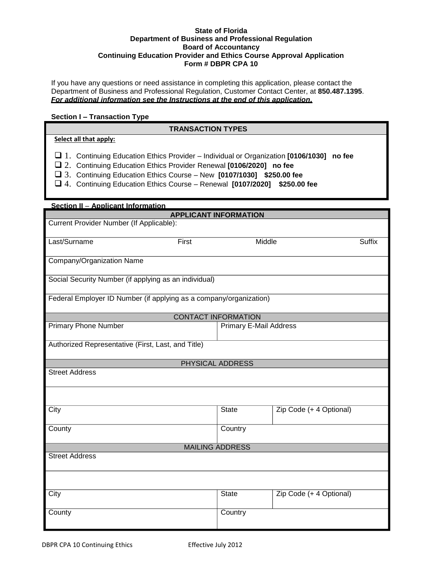#### **State of Florida Department of Business and Professional Regulation Board of Accountancy Continuing Education Provider and Ethics Course Approval Application Form # DBPR CPA 10**

If you have any questions or need assistance in completing this application, please contact the Department of Business and Professional Regulation, Customer Contact Center, at **850.487.1395**. *For additional information see the Instructions at the end of this application.*

#### **Section I – Transaction Type**

# **TRANSACTION TYPES**

# **Select all that apply:**

- 1. Continuing Education Ethics Provider Individual or Organization **[0106/1030] no fee**
- 2. Continuing Education Ethics Provider Renewal **[0106/2020] no fee**
- 3. Continuing Education Ethics Course New **[0107/1030] \$250.00 fee**
- 4. Continuing Education Ethics Course Renewal **[0107/2020] \$250.00 fee**

| <b>Section II - Applicant Information</b>                          |                               |                         |               |  |  |  |
|--------------------------------------------------------------------|-------------------------------|-------------------------|---------------|--|--|--|
|                                                                    | <b>APPLICANT INFORMATION</b>  |                         |               |  |  |  |
| Current Provider Number (If Applicable):                           |                               |                         |               |  |  |  |
| Last/Surname<br>First                                              | Middle                        |                         | <b>Suffix</b> |  |  |  |
| Company/Organization Name                                          |                               |                         |               |  |  |  |
| Social Security Number (if applying as an individual)              |                               |                         |               |  |  |  |
| Federal Employer ID Number (if applying as a company/organization) |                               |                         |               |  |  |  |
| <b>CONTACT INFORMATION</b>                                         |                               |                         |               |  |  |  |
| <b>Primary Phone Number</b>                                        | <b>Primary E-Mail Address</b> |                         |               |  |  |  |
| Authorized Representative (First, Last, and Title)                 |                               |                         |               |  |  |  |
| PHYSICAL ADDRESS                                                   |                               |                         |               |  |  |  |
| <b>Street Address</b>                                              |                               |                         |               |  |  |  |
|                                                                    |                               |                         |               |  |  |  |
| City                                                               | <b>State</b>                  | Zip Code (+ 4 Optional) |               |  |  |  |
| County                                                             | Country                       |                         |               |  |  |  |
| <b>MAILING ADDRESS</b>                                             |                               |                         |               |  |  |  |
| <b>Street Address</b>                                              |                               |                         |               |  |  |  |
|                                                                    |                               |                         |               |  |  |  |
| City                                                               | <b>State</b>                  | Zip Code (+ 4 Optional) |               |  |  |  |
| County                                                             | Country                       |                         |               |  |  |  |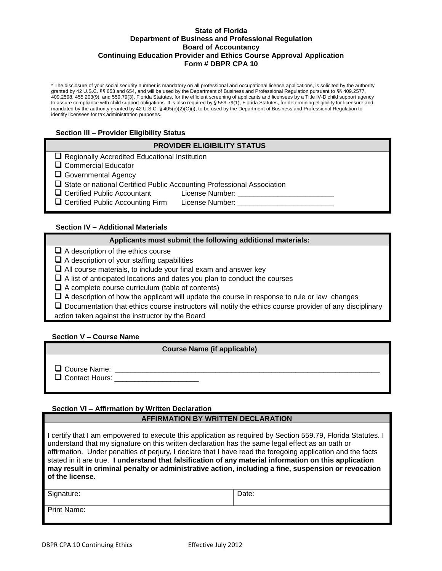#### **State of Florida Department of Business and Professional Regulation Board of Accountancy Continuing Education Provider and Ethics Course Approval Application Form # DBPR CPA 10**

\* The disclosure of your social security number is mandatory on all professional and occupational license applications, is solicited by the authority granted by 42 U.S.C. §§ 653 and 654, and will be used by the Department of Business and Professional Regulation pursuant to §§ 409.2577, 409.2598, 455.203(9), and 559.79(3), Florida Statutes, for the efficient screening of applicants and licensees by a Title IV-D child support agency to assure compliance with child support obligations. It is also required by § 559.79(1), Florida Statutes, for determining eligibility for licensure and mandated by the authority granted by 42 U.S.C. § 405(c)(2)(C)(i), to be used by the Department of Business and Professional Regulation to identify licensees for tax administration purposes.

# **Section III – Provider Eligibility Status**

# **PROVIDER ELIGIBILITY STATUS**

|  |  |  | $\Box$ Regionally Accredited Educational Institution |  |
|--|--|--|------------------------------------------------------|--|
|--|--|--|------------------------------------------------------|--|

□ Commercial Educator

Governmental Agency

 $\square$  State or national Certified Public Accounting Professional Association

□ Certified Public Accountant License Number: \_\_\_\_\_\_\_\_\_\_

 $\square$  Certified Public Accounting Firm License Number:  $\_\_$ 

# **Section IV – Additional Materials**

# **Applicants must submit the following additional materials:**

 $\Box$  A description of the ethics course

 $\Box$  A description of your staffing capabilities

 $\Box$  All course materials, to include your final exam and answer key

 $\Box$  A list of anticipated locations and dates you plan to conduct the courses

 $\Box$  A complete course curriculum (table of contents)

 $\Box$  A description of how the applicant will update the course in response to rule or law changes

 $\Box$  Documentation that ethics course instructors will notify the ethics course provider of any disciplinary action taken against the instructor by the Board

#### **Section V – Course Name**

#### **Course Name (if applicable)**

 $\Box$  Course Name:

□ Contact Hours: \_\_\_\_\_\_\_\_\_\_\_

#### **Section VI – Affirmation by Written Declaration**

#### **AFFIRMATION BY WRITTEN DECLARATION**

I certify that I am empowered to execute this application as required by Section 559.79, Florida Statutes. I understand that my signature on this written declaration has the same legal effect as an oath or affirmation. Under penalties of perjury, I declare that I have read the foregoing application and the facts stated in it are true. **I understand that falsification of any material information on this application may result in criminal penalty or administrative action, including a fine, suspension or revocation of the license.**

Signature:  $\vert$  Date:

Print Name: